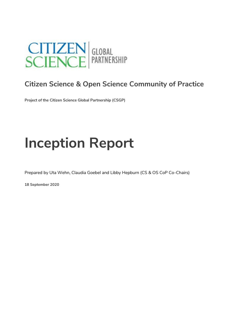

# **Citizen Science & Open Science Community of Practice**

**Project of the Citizen Science Global Partnership (CSGP)**

# **Inception Report**

Prepared by Uta Wehn, Claudia Goebel and Libby Hepburn (CS & OS CoP Co-Chairs)

**18 September 2020**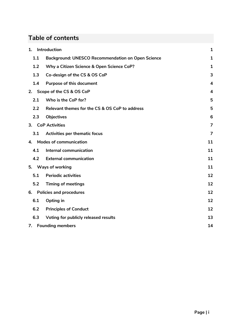# **Table of contents**

| 1.  | Introduction                                             | $\mathbf{1}$            |
|-----|----------------------------------------------------------|-------------------------|
| 1.1 | <b>Background: UNESCO Recommendation on Open Science</b> | 1                       |
| 1.2 | Why a Citizen Science & Open Science CoP?                | $\mathbf 1$             |
| 1.3 | Co-design of the CS & OS CoP                             | 3                       |
| 1.4 | <b>Purpose of this document</b>                          | $\overline{\mathbf{4}}$ |
| 2.  | Scope of the CS & OS CoP                                 | 4                       |
| 2.1 | Who is the CoP for?                                      | 5                       |
| 2.2 | Relevant themes for the CS & OS CoP to address           | 5                       |
| 2.3 | <b>Objectives</b>                                        | 6                       |
|     | 3. CoP Activities                                        | 7                       |
| 3.1 | Activities per thematic focus                            | 7                       |
| 4.  | <b>Modes of communication</b>                            | 11                      |
| 4.1 | Internal communication                                   | 11                      |
| 4.2 | <b>External communication</b>                            | 11                      |
|     | 5. Ways of working                                       | 11                      |
| 5.1 | <b>Periodic activities</b>                               | 12                      |
| 5.2 | <b>Timing of meetings</b>                                | 12                      |
| 6.  | <b>Policies and procedures</b>                           | 12                      |
| 6.1 | Opting in                                                | 12                      |
| 6.2 | <b>Principles of Conduct</b>                             | 12                      |
| 6.3 | Voting for publicly released results                     | 13                      |
|     | 7. Founding members                                      | 14                      |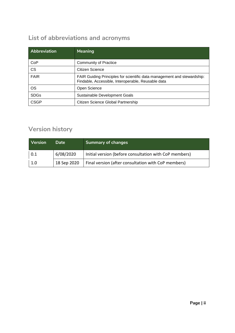# **List of abbreviations and acronyms**

| <b>Abbreviation</b> | Meaning                                                                                                                       |
|---------------------|-------------------------------------------------------------------------------------------------------------------------------|
| CoP                 | <b>Community of Practice</b>                                                                                                  |
| <b>CS</b>           | Citizen Science                                                                                                               |
| <b>FAIR</b>         | FAIR Guiding Principles for scientific data management and stewardship:<br>Findable, Accessible, Interoperable, Reusable data |
| <b>OS</b>           | Open Science                                                                                                                  |
| <b>SDGs</b>         | Sustainable Development Goals                                                                                                 |
| <b>CSGP</b>         | Citizen Science Global Partnership                                                                                            |

# **Version history**

| <b>Version</b> | Date        | <b>Summary of changes</b>                              |
|----------------|-------------|--------------------------------------------------------|
| 0.1            | 6/08/2020   | Initial version (before consultation with CoP members) |
| 1.0            | 18 Sep 2020 | Final version (after consultation with CoP members)    |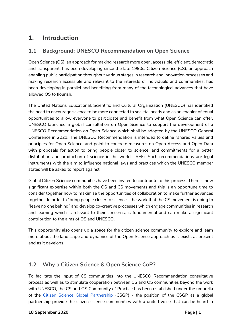# <span id="page-3-0"></span>**1. Introduction**

# <span id="page-3-1"></span>**1.1 Background: UNESCO Recommendation on Open Science**

Open Science (OS), an approach for making research more open, accessible, efficient, democratic and transparent, has been developing since the late 1990s. Citizen Science (CS), an approach enabling public participation throughout various stages in research and innovation processes and making research accessible and relevant to the interests of individuals and communities, has been developing in parallel and benefiting from many of the technological advances that have allowed OS to flourish.

The United Nations Educational, Scientific and Cultural Organization (UNESCO) has identified the need to encourage science to be more connected to societal needs and as an enabler of equal opportunities to allow everyone to participate and benefit from what Open Science can offer. UNESCO launched a [global consultation on Open Science](https://en.unesco.org/science-sustainable-future/open-science/consultation) to support the development of a [UNESCO Recommendation on Open Science w](https://en.unesco.org/sites/default/files/open_science_brochure_en.pdf)hich shall be adopted by the UNESCO General Conference in 2021. The UNESCO Recommendation is intended to define "shared values and principles for Open Science, and point to concrete measures on Open Access and Open Data with proposals for action to bring people closer to science, and commitments for a better distribution and production of science in the world" (REF). Such recommendations are legal instruments with the aim to influence national laws and practices which the UNESCO member states will be asked to report against.

Global Citizen Science communities have been invited to contribute to this process. There is now significant expertise within both the OS and CS movements and this is an opportune time to consider together how to maximise the opportunities of collaboration to make further advances together. In order to "bring people closer to science", the work that the CS movement is doing to "leave no one behind" and develop co-creative processes which engage communities in research and learning which is relevant to their concerns, is fundamental and can make a significant contribution to the aims of OS and UNESCO.

This opportunity also opens up a space for the citizen science community to explore and learn more about the landscape and dynamics of the Open Science approach as it exists at present and as it develops.

# <span id="page-3-2"></span>**1.2 Why a Citizen Science & Open Science CoP?**

To facilitate the input of CS communities into the UNESCO Recommendation consultative process as well as to stimulate cooperation between CS and OS communities beyond the work with UNESCO, the [CS and OS Community of Practice](https://docs.google.com/forms/d/e/1FAIpQLSdoDB1fi9RGiDj5NOeLbYcwoA-Mp9WZnzwJIgRBX2d_rbJgUQ/viewform?usp=sf_link) has been established under the umbrella of the [Citizen Science Global Partnership](http://citizenscienceglobal.org/) (CSGP) - the position of the CSGP as a global partnership provide the citizen science communities with a united voice that can be heard in

#### **18 September 2020 Page | 1**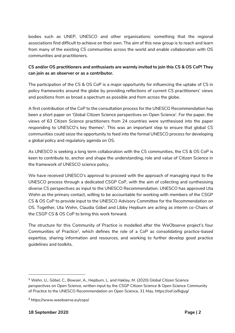bodies such as UNEP, UNESCO and other organisations: something that the regional associations find difficult to achieve on their own. The aim of this new group is to reach and learn from many of the existing CS communities across the world and enable collaboration with OS communities and practitioners.

#### **CS and/or OS practitioners and enthusiasts are warmly invited to join this CS & OS CoP! They can join as an observer or as a contributor.**

The participation of the CS & OS CoP is a major opportunity for influencing the uptake of CS in policy frameworks around the globe by providing reflections of current CS practitioners' views and positions from as broad a spectrum as possible and from across the globe.

A first contribution of the CoP to the consultation process for the UNESCO Recommendation has been a short paper on 'Global Citizen Science perspectives on Open Science'. For the paper, the views of 63 Citizen Science practitioners from 24 countries were synthesised into the paper responding to UNESCO's key themes<sup>1</sup>. This was an important step to ensure that global CS communities could seize the opportunity to feed into the formal UNESCO process for developing a global policy and regulatory agenda on OS.

As UNESCO is seeking a long term collaboration with the CS communities, the CS & OS CoP is keen to contribute to, anchor and shape the understanding, role and value of Citizen Science in the framework of UNESCO science policy.

We have received UNESCO's approval to proceed with the approach of managing input to the UNESCO process through a dedicated CSGP CoP, with the aim of collecting and synthesising diverse CS perspectives as input to the UNESCO Recommendation. UNESCO has approved Uta Wehn as the primary contact, willing to be accountable for working with members of the CSGP CS & OS CoP to provide input to the UNESCO Advisory Committee for the Recommendation on OS. Together, Uta Wehn, Claudia Göbel and Libby Hepburn are acting as interim co-Chairs of the CSGP CS & OS CoP to bring this work forward.

The structure for this Community of Practice is modelled after the WeObserve project's four Communities of Practice<sup>2</sup>, which defines the role of a CoP as consolidating practice-based expertise, sharing information and resources, and working to further develop good practice guidelines and toolkits.

**<sup>1</sup>** Wehn, U., Göbel, C., Bowser, A., Hepburn, L. and Haklay, M. (2020) Global Citizen Science perspectives on Open Science, written input by the CSGP Citizen Science & Open Science Community of Practice to the UNESCO Recommendation on Open Science, 31 May, https://osf.io/6qjyg/

**<sup>2</sup>** https://www.weobserve.eu/cops/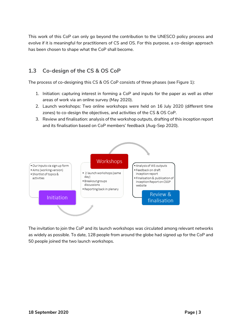This work of this CoP can only go beyond the contribution to the UNESCO policy process and evolve if it is meaningful for practitioners of CS and OS. For this purpose, a co-design approach has been chosen to shape what the CoP shall become.

# <span id="page-5-0"></span>**1.3 Co-design of the CS & OS CoP**

The process of co-designing this CS & OS CoP consists of three phases (see Figure 1):

- 1. Initiation: capturing interest in forming a CoP and inputs for the paper as well as other areas of work via an online survey (May 2020).
- 2. Launch workshops: Two online workshops were held on 16 July 2020 (different time zones) to co-design the objectives, and activities of the CS & OS CoP.
- 3. Review and finalisation: analysis of the workshop outputs, drafting of this inception report and its finalisation based on CoP members' feedback (Aug-Sep 2020).



The invitation to join the CoP and its launch workshops was circulated among relevant networks as widely as possible. To date, 128 people from around the globe had signed up for the CoP and 50 people joined the two launch workshops.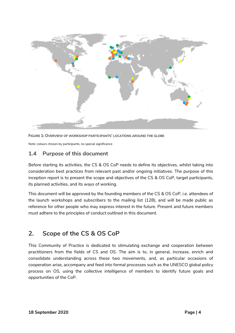

**FIGURE 1: OVERVIEW OF WORKSHOP PARTICIPANTS' LOCATIONS AROUND THE GLOBE** 

Note: colours chosen by participants, no special significance

## <span id="page-6-0"></span>**1.4 Purpose of this document**

Before starting its activities, the CS & OS CoP needs to define its objectives, whilst taking into consideration best practices from relevant past and/or ongoing initiatives. The purpose of this inception report is to present the scope and objectives of the CS & OS CoP, target participants, its planned activities, and its ways of working.

This document will be approved by the founding members of the CS & OS CoP, i.e. attendees of the launch workshops and subscribers to the mailing list (128), and will be made public as reference for other people who may express interest in the future. Present and future members must adhere to the principles of conduct outlined in this document.

# <span id="page-6-1"></span>**2. Scope of the CS & OS CoP**

This Community of Practice is dedicated to stimulating exchange and cooperation between practitioners from the fields of CS and OS. The aim is to, in general, increase, enrich and consolidate understanding across these two movements, and, as particular occasions of cooperation arise, accompany and feed into formal processes such as the UNESCO global policy process on OS, using the collective intelligence of members to identify future goals and opportunities of the CoP.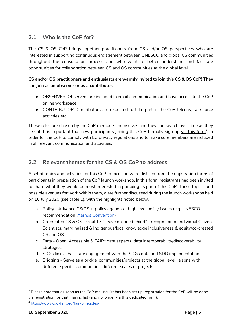## <span id="page-7-0"></span>**2.1 Who is the CoP for?**

The CS & OS CoP brings together practitioners from CS and/or OS perspectives who are interested in supporting continuous engagement between UNESCO and global CS communities throughout the consultation process and who want to better understand and facilitate opportunities for collaboration between CS and OS communities at the global level.

#### **CS and/or OS practitioners and enthusiasts are warmly invited to join this CS & OS CoP! They can join as an observer or as a contributor.**

- OBSERVER: Observers are included in email communication and have access to the CoP online workspace
- CONTRIBUTOR: Contributors are expected to take part in the CoP telcons, task force activities etc.

These roles are chosen by the CoP members themselves and they can switch over time as they see fit. It is important that new participants joining this CoP formally [sign up via this form](https://docs.google.com/forms/d/e/1FAIpQLSdoDB1fi9RGiDj5NOeLbYcwoA-Mp9WZnzwJIgRBX2d_rbJgUQ/viewform?usp=sf_link)<sup>3</sup>, in order for the CoP to comply with EU privacy regulations and to make sure members are included in all relevant communication and activities.

# <span id="page-7-1"></span>**2.2 Relevant themes for the CS & OS CoP to address**

A set of topics and activities for this CoP to focus on were distilled from the registration forms of participants in preparation of the CoP launch workshop. In this form, registrants had been invited to share what they would be most interested in pursuing as part of this CoP. These topics, and possible avenues for work within them, were further discussed during the launch workshops held on 16 July 2020 (see table 1), with the highlights noted below.

- a. Policy Advance CS/OS in policy agendas high level policy issues (e.g. UNESCO recommendation, [Aarhus Convention\)](https://www.unece.org/env/pp/welcome.html)
- b. Co-created CS & OS Goal 17 "Leave no-one behind" recognition of individual Citizen Scientists, marginalised & Indigenous/local knowledge inclusiveness & equity/co-created CS and OS
- c. Data Open, Accessible & FAIR<sup>4</sup> data aspects, data interoperability/discoverability strategies
- d. SDGs links Facilitate engagement with the SDGs data and SDG implementation
- e. Bridging Serve as a bridge, communities/projects at the global level liaisons with different specific communities, different scales of projects

**<sup>3</sup>** Please note that as soon as the CoP mailing list has been set up, registration for the CoP will be done via registration for that mailing list (and no longer via this dedicated form).

**<sup>4</sup>** <https://www.go-fair.org/fair-principles/>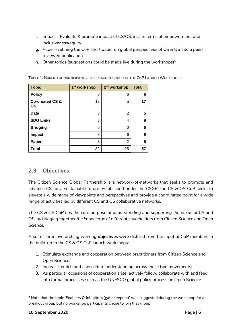- f. Impact Evaluate & promote impact of CS/OS, incl. in terms of empowerment and inclusiveness/equity
- g. Paper refining the CoP short paper on global perspectives of CS & OS into a peerreviewed publication
- h. Other topics (suggestions could be made live during the workshops) $5$

| <b>Topic</b>                     | 1 <sup>st</sup> workshop | 2 <sup>nd</sup> workshop | <b>Total</b> |
|----------------------------------|--------------------------|--------------------------|--------------|
| <b>Policy</b>                    | 0                        | 6                        | 6            |
| <b>Co-created CS &amp;</b><br>ΟS | 12                       | 5                        | 17           |
| Data                             | 3                        | $\overline{2}$           | 5            |
| <b>SDG Links</b>                 | 5                        | 4                        | 9            |
| <b>Bridging</b>                  | 6                        | 0                        | 6            |
| <b>Impact</b>                    | 3                        | 6                        | 9            |
| Paper                            | 3                        | $\overline{2}$           | 5            |
| <b>Total</b>                     | 32                       | 25                       | 57           |

**TABLE 1.NUMBER OF PARTICIPANTS PER BREAKOUT GROUP AT THE COP LAUNCH WORKSHOPS**

## <span id="page-8-0"></span>**2.3 Objectives**

The Citizen Science Global Partnership is a network-of-networks that seeks to promote and advance CS for a sustainable future. Established under the CSGP, the CS & OS CoP seeks to elevate a wide range of viewpoints and perspectives and provide a coordinated point for a wide range of activities led by different CS and OS collaborative networks.

*The CS & OS CoP has the core purpose of understanding and supporting the nexus of CS and OS, by bringing together the knowledge of different stakeholders from Citizen Science and Open Science.* 

A set of three overarching working **objectives** were distilled from the input of CoP members in the build-up to the CS & OS CoP launch workshops:

- 1. Stimulate exchange and cooperation between practitioners from Citizen Science and Open Science;
- 2. Increase, enrich and consolidate understanding across these two movements;
- 3. As particular occasions of cooperation arise, actively follow, collaborate with and feed into formal processes such as the UNESCO global policy process on Open Science.

**<sup>5</sup>** Note that the topic 'Enablers & inhibitors (gate keepers)' was suggested during the workshop for a breakout group but no workshop participants chose to join that group.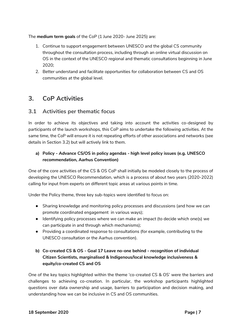The **medium term goals** of the CoP (1 June 2020- June 2025) are:

- 1. Continue to support engagement between UNESCO and the global CS community throughout the consultation process, including through an online virtual discussion on OS in the context of the UNESCO regional and thematic consultations beginning in June 2020;
- 2. Better understand and facilitate opportunities for collaboration between CS and OS communities at the global level.

# <span id="page-9-0"></span>**3. CoP Activities**

## <span id="page-9-1"></span>**3.1 Activities per thematic focus**

In order to achieve its objectives and taking into account the activities co-designed by participants of the launch workshops, this CoP aims to undertake the following activities. At the same time, the CoP will ensure it is not repeating efforts of other associations and networks (see details in Section 3.2) but will actively link to them.

#### **a) Policy - Advance CS/OS in policy agendas - high level policy issues (e.g. UNESCO recommendation, Aarhus Convention)**

One of the core activities of the CS & OS CoP shall initially be modeled closely to the process of developing the UNESCO Recommendation, which is a process of about two years (2020-2022) calling for input from experts on different topic areas at various points in time.

Under the Policy theme, three key sub-topics were identified to focus on:

- Sharing knowledge and monitoring policy processes and discussions (and how we can promote coordinated engagement in various ways);
- Identifying policy processes where we can make an impact (to decide which one(s) we can participate in and through which mechanisms);
- Providing a coordinated response to consultations (for example, contributing to the UNESCO consultation or the Aarhus convention).
- **b) Co-created CS & OS - Goal 17 Leave no-one behind - recognition of individual Citizen Scientists, marginalised & Indigenous/local knowledge inclusiveness & equity/co-created CS and OS**

One of the key topics highlighted within the theme 'co-created CS & OS' were the barriers and challenges to achieving co-creation. In particular, the workshop participants highlighted questions over data ownership and usage, barriers to participation and decision making, and understanding how we can be inclusive in CS and OS communities.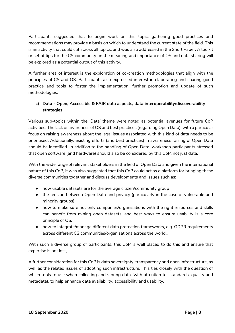Participants suggested that to begin work on this topic, gathering good practices and recommendations may provide a basis on which to understand the current state of the field. This is an activity that could cut across all topics, and was also addressed in the Short Paper. A toolkit or set of tips for the CS community on the meaning and importance of OS and data sharing will be explored as a potential output of this activity.

A further area of interest is the exploration of co-creation methodologies that align with the principles of CS and OS. Participants also expressed interest in elaborating and sharing good practice and tools to foster the implementation, further promotion and update of such methodologies.

#### **c) Data - Open, Accessible & FAIR data aspects, data interoperability/discoverability strategies**

Various sub-topics within the 'Data' theme were noted as potential avenues for future CoP activities. The lack of awareness of OS and best practices (regarding Open Data), with a particular focus on raising awareness about the legal issues associated with this kind of data needs to be prioritised. Additionally, existing efforts (and best practices) in awareness raising of Open Data should be identified. In addition to the handling of Open Data, workshop participants stressed that open software (and hardware) should also be considered by this CoP, not just data.

With the wide range of relevant stakeholders in the field of Open Data and given the international nature of this CoP, it was also suggested that this CoP could act as a platform for bringing these diverse communities together and discuss developments and issues such as:

- how usable datasets are for the average citizen/community group
- the tension between Open Data and privacy (particularly in the case of vulnerable and minority groups)
- how to make sure not only companies/organisations with the right resources and skills can benefit from mining open datasets, and best ways to ensure usability is a core principle of OS,
- how to integrate/manage different data protection frameworks, e.g. GDPR requirements across different CS communities/organisations across the world..

With such a diverse group of participants, this CoP is well placed to do this and ensure that expertise is not lost,

A further consideration for this CoP is data sovereignty, transparency and open infrastructure, as well as the related issues of adopting such infrastructure. This ties closely with the question of which tools to use when collecting and storing data (with attention to standards, quality and metadata), to help enhance data availability, accessibility and usability.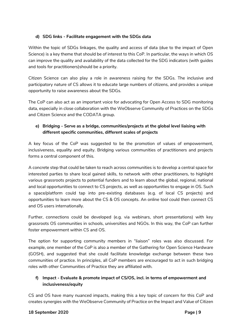#### **d) SDG links - Facilitate engagement with the SDGs data**

Within the topic of SDGs linkages, the quality and access of data (due to the impact of Open Science) is a key theme that should be of interest to this CoP. In particular, the ways in which OS can improve the quality and availability of the data collected for the SDG indicators (with guides and tools for practitioners)should be a priority.

Citizen Science can also play a role in awareness raising for the SDGs. The inclusive and participatory nature of CS allows it to educate large numbers of citizens, and provides a unique opportunity to raise awareness about the SDGs.

The CoP can also act as an important voice for advocating for Open Access to SDG monitoring data, especially in close collaboration with the WeObserve Community of Practices on the SDGs and Citizen Science and the CODATA group.

#### **e) Bridging - Serve as a bridge, communities/projects at the global level liaising with different specific communities, different scales of projects**

A key focus of the CoP was suggested to be the promotion of values of empowerment, inclusiveness, equality and equity. Bridging various communities of practitioners and projects forms a central component of this.

A concrete step that could be taken to reach across communities is to develop a central space for interested parties to share local gained skills, to network with other practitioners, to highlight various grassroots projects to potential funders and to learn about the global, regional, national and local opportunities to connect to CS projects, as well as opportunities to engage in OS. Such a space/platform could tap into pre-existing databases (e.g. of local CS projects) and opportunities to learn more about the CS & OS concepts. An online tool could then connect CS and OS users internationally.

Further, connections could be developed (e.g. via webinars, short presentations) with key grassroots OS communities in schools, universities and NGOs. In this way, the CoP can further foster empowerment within CS and OS.

The option for supporting community members in "liaison" roles was also discussed. For example, one member of the CoP is also a member of the Gathering for Open Science Hardware (GOSH), and suggested that she could facilitate knowledge exchange between these two communities of practice. In principles, all CoP members are encouraged to act in such bridging roles with other Communities of Practice they are affiliated with.

#### **f) Impact - Evaluate & promote impact of CS/OS, incl. in terms of empowerment and inclusiveness/equity**

CS and OS have many nuanced impacts, making this a key topic of concern for this CoP and creates synergies with the WeObserve Community of Practice on the Impact and Value of Citizen

#### **18 September 2020 Page | 9**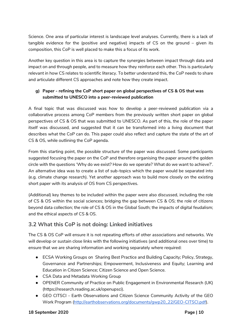Science. One area of particular interest is landscape level analyses. Currently, there is a lack of tangible evidence for the (positive and negative) impacts of CS on the ground – given its composition, this CoP is well placed to make this a focus of its work.

Another key question in this area is to capture the synergies between impact through data and impact on and through people, and to measure how they reinforce each other. This is particularly relevant in how CS relates to scientific literacy. To better understand this, the CoP needs to share and articulate different CS approaches and note how they create impact.

#### **g) Paper - refining the CoP short paper on global perspectives of CS & OS that was submitted to UNESCO into a peer-reviewed publication**

A final topic that was discussed was how to develop a peer-reviewed publication via a collaborative process among CoP members from the previously written short paper on global perspectives of CS & OS that was submitted to UNESCO. As part of this, the role of the paper itself was discussed, and suggested that it can be transformed into a living document that describes what the CoP can do. This paper could also reflect and capture the state of the art of CS & OS, while outlining the CoP agenda.

From this starting point, the possible structure of the paper was discussed. Some participants suggested focusing the paper on the CoP and therefore organising the paper around the golden circle with the questions 'Why do we exist? How do we operate? What do we want to achieve?'. An alternative idea was to create a list of sub-topics which the paper would be separated into (e.g. climate change research). Yet another approach was to build more closely on the existing short paper with its analysis of OS from CS perspectives.

(Additional) key themes to be included within the paper were also discussed, including the role of CS & OS within the social sciences; bridging the gap between CS & OS; the role of citizens beyond data collection; the role of CS & OS in the Global South; the impacts of digital feudalism; and the ethical aspects of CS & OS.

# **3.2 What this CoP is not doing: Linked initiatives**

The CS & OS CoP will ensure it is not repeating efforts of other associations and networks. We will develop or sustain close links with the following initiatives (and additional ones over time) to ensure that we are sharing information and working separately where required:

- ECSA Working Groups on Sharing Best Practice and Building Capacity; Policy, Strategy, Governance and Partnerships; Empowerment, Inclusiveness and Equity; Learning and Education in Citizen Science; Citizen Science and Open Science.
- CSA Data and Metadata Working Group
- OPENER Community of Practice on Public Engagement in Environmental Research (UK) (https://research.reading.ac.uk/openupsci).
- GEO CITSCI Earth Observations and Citizen Science Community Activity of the GEO Work Program (http://earthobservations.org/documents/gwp20\_22/GEO-CITSCI.pdf).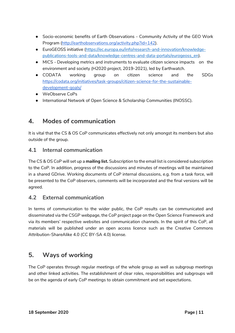- Socio-economic benefits of Earth Observations Community Activity of the GEO Work Program [\(http://earthobservations.org/activity.php?id=142\)](http://earthobservations.org/activity.php?id=142).
- EuroGEOSS initiative [\(https://ec.europa.eu/info/research-and-innovation/knowledge](https://ec.europa.eu/info/research-and-innovation/knowledge-publications-tools-and-data/knowledge-centres-and-data-portals/eurogeoss_en)[publications-tools-and-data/knowledge-centres-and-data-portals/eurogeoss\\_en\)](https://ec.europa.eu/info/research-and-innovation/knowledge-publications-tools-and-data/knowledge-centres-and-data-portals/eurogeoss_en).
- MICS Developing metrics and instruments to evaluate citizen science impacts on the environment and society (H2020 project, 2019-2021), led by Earthwatch.
- CODATA working group on citizen science and the SDGs [https://codata.org/initiatives/task-groups/citizen-science-for-the-sustainable](https://codata.org/initiatives/task-groups/citizen-science-for-the-sustainable-development-goals/)[development-goals/](https://codata.org/initiatives/task-groups/citizen-science-for-the-sustainable-development-goals/)
- WeObserve CoPs
- International Network of Open Science & Scholarship Communities (INOSSC).

# <span id="page-13-0"></span>**4. Modes of communication**

It is vital that the CS & OS CoP communicates effectively not only amongst its members but also outside of the group.

## <span id="page-13-1"></span>**4.1 Internal communication**

The CS & OS CoP will set up a **mailing list.** Subscription to the email list is considered subscription to the CoP. In addition, progress of the discussions and minutes of meetings will be maintained in a shared GDrive. Working documents of CoP internal discussions, e.g. from a task force, will be presented to the CoP observers, comments will be incorporated and the final versions will be agreed.

## <span id="page-13-2"></span>**4.2 External communication**

In terms of communication to the wider public, the CoP results can be communicated and disseminated via the CSGP webpage, the CoP project page on the Open Science Framework and via its members' respective websites and communication channels. In the spirit of this CoP, all materials will be published under an open access licence such as the Creative Commons Attribution-ShareAlike 4.0 (CC BY-SA 4.0) license.

# <span id="page-13-3"></span>**5. Ways of working**

The CoP operates through regular meetings of the whole group as well as subgroup meetings and other linked activities. The establishment of clear roles, responsibilities and subgroups will be on the agenda of early CoP meetings to obtain commitment and set expectations.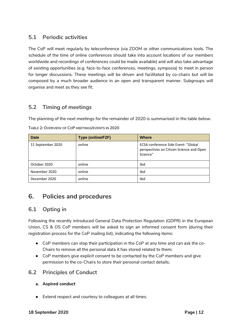## <span id="page-14-0"></span>**5.1 Periodic activities**

The CoP will meet regularly by teleconference (via ZOOM or other communications tools. The schedule of the time of online conferences should take into account locations of our members worldwide and recordings of conferences could be made available) and will also take advantage of existing opportunities (e.g. face-to-face conferences, meetings, symposia) to meet in person for longer discussions. These meetings will be driven and facilitated by co-chairs but will be composed by a much broader audience in an open and transparent manner. Subgroups will organise and meet as they see fit.

## <span id="page-14-1"></span>**5.2 Timing of meetings**

The planning of the next meetings for the remainder of 2020 is summarised in the table below.

| <b>Date</b>       | Type (online/F2F) | <b>Where</b>                                                                                       |
|-------------------|-------------------|----------------------------------------------------------------------------------------------------|
| 11 September 2020 | online            | <b>ECSA conference Side Event: "Global</b><br>perspectives on Citizen Science and Open<br>Science" |
| October 2020      | online            | tbd                                                                                                |
| November 2020     | online            | tbd                                                                                                |
| December 2020     | online            | tbd                                                                                                |

**TABLE 2: OVERVIEW OF COP MEETINGS/EVENTS IN 2020**

# <span id="page-14-2"></span>**6. Policies and procedures**

## <span id="page-14-3"></span>**6.1 Opting in**

Following the recently introduced General Data Protection Regulation (GDPR) in the European Union, CS & OS CoP members will be asked to sign an informed consent form (during their registration process for the CoP mailing list), indicating the following items:

- CoP members can stop their participation in the CoP at any time and can ask the co-Chairs to remove all the personal data it has stored related to them;
- CoP members give explicit consent to be contacted by the CoP members and give permission to the co-Chairs to store their personal contact details;

## <span id="page-14-4"></span>**6.2 Principles of Conduct**

- **a. Aspired conduct**
- Extend respect and courtesy to colleagues at all times.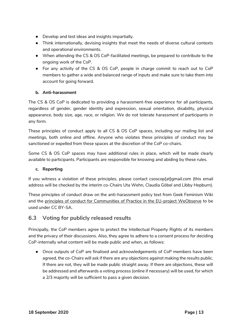- Develop and test ideas and insights impartially.
- Think internationally, devising insights that meet the needs of diverse cultural contexts and operational environments.
- When attending the CS & OS CoP-facilitated meetings, be prepared to contribute to the ongoing work of the CoP.
- For any activity of the CS & OS CoP, people in charge commit to reach out to CoP members to gather a wide and balanced range of inputs and make sure to take them into account for going forward.

#### **b. Anti-harassment**

The CS & OS CoP is dedicated to providing a harassment-free experience for all participants, regardless of gender, gender identity and expression, sexual orientation, disability, physical appearance, body size, age, race, or religion. We do not tolerate harassment of participants in any form.

These principles of conduct apply to all CS & OS CoP spaces, including our mailing list and meetings, both online and offline. Anyone who violates these principles of conduct may be sanctioned or expelled from these spaces at the discretion of the CoP co-chairs.

Some CS & OS CoP spaces may have additional rules in place, which will be made clearly available to participants. Participants are responsible for knowing and abiding by these rules.

#### **c. Reporting**

If you witness a violation of these principles, please contact [csoscop\[at\]gmail.com](mailto:csoscop@gmail.com) (this email address will be checked by the interim co-Chairs Uta Wehn, Claudia Göbel and Libby Hepburn).

These principles of conduct draw on the [anti-harassment policy text from Geek Feminism Wiki](https://geekfeminism.wikia.org/wiki/Community_anti-harassment/Policy)  and the principles of conduct for Communities of Practice in the EU-project [WeObserve](https://www.weobserve.eu/) to be used under CC BY-SA.

## <span id="page-15-0"></span>**6.3 Voting for publicly released results**

Principally, the CoP members agree to protect the Intellectual Property Rights of its members and the privacy of their discussions. Also, they agree to adhere to a consent process for deciding CoP-internally what content will be made public and when, as follows:

Once outputs of CoP are finalised and acknowledgements of CoP members have been agreed, the co-Chairs will ask if there are any objections against making the results public. If there are not, they will be made public straight away. If there are objections, these will be addressed and afterwards a voting process (online if necessary) will be used, for which a 2/3 majority will be sufficient to pass a given decision.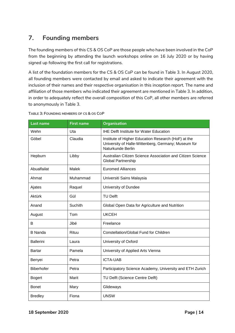# <span id="page-16-0"></span>**7. Founding members**

The founding members of this CS & OS CoP are those people who have been involved in the CoP from the beginning by attending the launch workshops online on 16 July 2020 or by having signed up following the first call for registrations.

A list of the foundation members for the CS & OS CoP can be found in Table 3. In August 2020, all founding members were contacted by email and asked to indicate their agreement with the inclusion of their names and their respective organisation in this inception report. The name and affiliation of those members who indicated their agreement are mentioned in Table 3. In addition, in order to adequately reflect the overall composition of this CoP, all other members are referred to anonymously in Table 3.

| TABLE 3: FOUNDING MEMBERS OF CS & OS COP |  |  |  |  |  |
|------------------------------------------|--|--|--|--|--|
|------------------------------------------|--|--|--|--|--|

| Last name        | <b>First name</b> | <b>Organisation</b>                                                                                                             |
|------------------|-------------------|---------------------------------------------------------------------------------------------------------------------------------|
| Wehn             | Uta               | <b>IHE Delft Institute for Water Education</b>                                                                                  |
| Göbel            | Claudia           | Institute of Higher Education Research (HoF) at the<br>University of Halle-Wittenberg, Germany; Museum für<br>Naturkunde Berlin |
| Hepburn          | Libby             | Australian Citizen Science Association and Citizen Science<br>Global Partnership                                                |
| Abualfailat      | <b>Malek</b>      | <b>Euromed Alliances</b>                                                                                                        |
| Ahmat            | Muhammad          | Universiti Sains Malaysia                                                                                                       |
| Ajates           | Raquel            | University of Dundee                                                                                                            |
| Aktürk           | Gül               | <b>TU Delft</b>                                                                                                                 |
| Anand            | Suchith           | Global Open Data for Agriculture and Nutrition                                                                                  |
| August           | Tom               | <b>UKCEH</b>                                                                                                                    |
| B                | Jibé              | Freelance                                                                                                                       |
| <b>B</b> Nanda   | Rituu             | Constellation/Global Fund for Children                                                                                          |
| <b>Ballerini</b> | Laura             | University of Oxford                                                                                                            |
| Bartar           | Pamela            | University of Applied Arts Vienna                                                                                               |
| Benyei           | Petra             | <b>ICTA-UAB</b>                                                                                                                 |
| Biberhofer       | Petra             | Participatory Science Academy, University and ETH Zurich                                                                        |
| <b>Bogert</b>    | Marit             | TU Delft (Science Centre Delft)                                                                                                 |
| <b>Bonet</b>     | Mary              | Glideways                                                                                                                       |
| <b>Bredley</b>   | Fiona             | <b>UNSW</b>                                                                                                                     |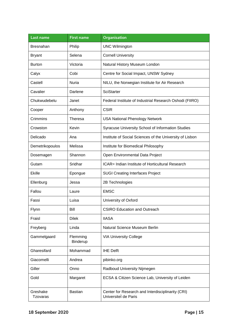| Last name                   | <b>First name</b>    | <b>Organisation</b>                                                       |
|-----------------------------|----------------------|---------------------------------------------------------------------------|
| <b>Bresnahan</b>            | Philip               | <b>UNC Wilmington</b>                                                     |
| <b>Bryant</b>               | Selena               | <b>Cornell University</b>                                                 |
| <b>Burton</b>               | Victoria             | Natural History Museum London                                             |
| Calyx                       | Cobi                 | Centre for Social Impact, UNSW Sydney                                     |
| Castell                     | Nuria                | NILU, the Norwegian Institute for Air Research                            |
| Cavalier                    | Darlene              | <b>SciStarter</b>                                                         |
| Chukwudebelu                | Janet                | Federal Institute of Industrial Research Oshodi (FIIRO)                   |
| Cooper                      | Anthony              | <b>CSIR</b>                                                               |
| Crimmins                    | Theresa              | <b>USA National Phenology Network</b>                                     |
| Crowston                    | Kevin                | Syracuse University School of Information Studies                         |
| Delicado                    | Ana                  | Institute of Social Sciences of the University of Lisbon                  |
| Demetrikopoulos             | Melissa              | Institute for Biomedical Philosophy                                       |
| Dosemagen                   | Shannon              | Open Environmental Data Project                                           |
| Gutam                       | Sridhar              | ICAR= Indian Institute of Horticultural Research                          |
| <b>Ekille</b>               | Epongue              | <b>SUGI Creating Interfaces Project</b>                                   |
| Ellenburg                   | Jessa                | 2B Technologies                                                           |
| Fallou                      | Laure                | <b>EMSC</b>                                                               |
| Fassi                       | Luisa                | University of Oxford                                                      |
| Flynn                       | Bill                 | <b>CSIRO Education and Outreach</b>                                       |
| Fraisl                      | <b>Dilek</b>         | <b>IIASA</b>                                                              |
| Freyberg                    | Linda                | Natural Science Museum Berlin                                             |
| Gammelgaard                 | Flemming<br>Binderup | <b>VIA University College</b>                                             |
| Gharesifard                 | Mohammad             | <b>IHE Delft</b>                                                          |
| Giacomelli                  | Andrea               | pibinko.org                                                               |
| Giller                      | Onno                 | Radboud University Nijmegen                                               |
| Gold                        | Margaret             | ECSA & Citizen Science Lab, University of Leiden                          |
| Greshake<br><b>Tzovaras</b> | <b>Bastian</b>       | Center for Research and Interdisciplinarity (CRI)<br>Universitel de Paris |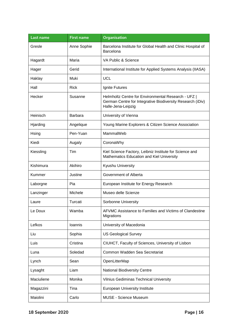| Last name  | <b>First name</b> | <b>Organisation</b>                                                                                                                     |
|------------|-------------------|-----------------------------------------------------------------------------------------------------------------------------------------|
| Gresle     | Anne Sophie       | Barcelona Institute for Global Health and Clinic Hospital of<br>Barcelona                                                               |
| Hagardt    | Maria             | VA Public & Science                                                                                                                     |
| Hager      | Gerid             | International Institute for Applied Systems Analysis (IIASA)                                                                            |
| Haklay     | Muki              | <b>UCL</b>                                                                                                                              |
| Hall       | <b>Rick</b>       | Ignite Futures                                                                                                                          |
| Hecker     | Susanne           | Helmholtz Centre for Environmental Research - UFZ  <br>German Centre for Integrative Biodiversity Research (iDiv)<br>Halle-Jena-Leipzig |
| Heinisch   | <b>Barbara</b>    | University of Vienna                                                                                                                    |
| Hjarding   | Angelique         | Young Marine Explorers & Citizen Science Association                                                                                    |
| Hsing      | Pen-Yuan          | MammalWeb                                                                                                                               |
| Kiedi      | Augaly            | CoronaWhy                                                                                                                               |
| Kiessling  | Tim               | Kiel Science Factory, Leibniz Institute for Science and<br>Mathematics Education and Kiel University                                    |
| Kishimura  | Akihiro           | Kyushu University                                                                                                                       |
| Kummer     | Justine           | Government of Alberta                                                                                                                   |
| Laborgne   | Pia               | European Institute for Energy Research                                                                                                  |
| Lanzinger  | Michele           | Museo delle Scienze                                                                                                                     |
| Laure      | Turcati           | Sorbonne University                                                                                                                     |
| Le Doux    | Wamba             | AFVMC Assistance to Families and Victims of Clandestine<br>Migrations                                                                   |
| Lefkos     | Ioannis           | University of Macedonia                                                                                                                 |
| Liu        | Sophia            | <b>US Geological Survey</b>                                                                                                             |
| Luis       | Cristina          | CIUHCT, Faculty of Sciences, University of Lisbon                                                                                       |
| Luna       | Soledad           | Common Wadden Sea Secretariat                                                                                                           |
| Lynch      | Sean              | OpenLitterMap                                                                                                                           |
| Lysaght    | Liam              | <b>National Biodiversity Centre</b>                                                                                                     |
| Maciuliene | Monika            | <b>Vilnius Gediminas Technical University</b>                                                                                           |
| Magazzini  | Tina              | <b>European University Institute</b>                                                                                                    |
| Maiolini   | Carlo             | MUSE - Science Museum                                                                                                                   |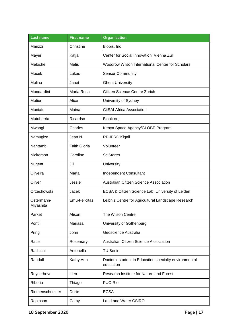| Last name               | <b>First name</b>   | <b>Organisation</b>                                                |
|-------------------------|---------------------|--------------------------------------------------------------------|
| Marizzi                 | Christine           | Biobis, Inc.                                                       |
| Mayer                   | Katja               | Center for Social Innovation, Vienna ZSI                           |
| Meloche                 | <b>Metis</b>        | Woodrow Wilson International Center for Scholars                   |
| Mocek                   | Lukas               | Sensor.Community                                                   |
| Molina                  | Janet               | <b>Ghent University</b>                                            |
| Mondardini              | Maria Rosa          | Citizen Science Centre Zurich                                      |
| Motion                  | Alice               | University of Sydney                                               |
| Muniafu                 | Maina               | <b>CitSAf Africa Association</b>                                   |
| Mutuberria              | Ricardso            | Biook.org                                                          |
| Mwangi                  | Charles             | Kenya Space Agency/GLOBE Program                                   |
| Namugize                | Jean N              | RP-IPRC Kigali                                                     |
| Nantambi                | <b>Faith Gloria</b> | Volunteer                                                          |
| Nickerson               | Caroline            | SciStarter                                                         |
| Nugent                  | Jill                | University                                                         |
| Oliveira                | Marta               | Independent Consultant                                             |
| Oliver                  | Jessie              | Australian Citizen Science Association                             |
| Orzechowski             | Jacek               | ECSA & Citizen Science Lab, University of Leiden                   |
| Ostermann-<br>Miyashita | Emu-Felicitas       | Leibniz Centre for Agricultural Landscape Research                 |
| Parket                  | Alison              | The Wilson Centre                                                  |
| Ponti                   | Mariasa             | University of Gothenburg                                           |
| Pring                   | John                | Geoscience Australia                                               |
| Race                    | Rosemary            | Australian Citizen Science Association                             |
| Radicchi                | Antonella           | <b>TU Berlin</b>                                                   |
| Randall                 | Kathy Ann           | Doctoral student in Education specialty environmental<br>education |
| Reyserhove              | Lien                | Research Institute for Nature and Forest                           |
| Riberia                 | Thiago              | PUC-Rio                                                            |
| Riemenschneider         | Dorte               | <b>ECSA</b>                                                        |
| Robinson                | Cathy               | Land and Water CSIRO                                               |